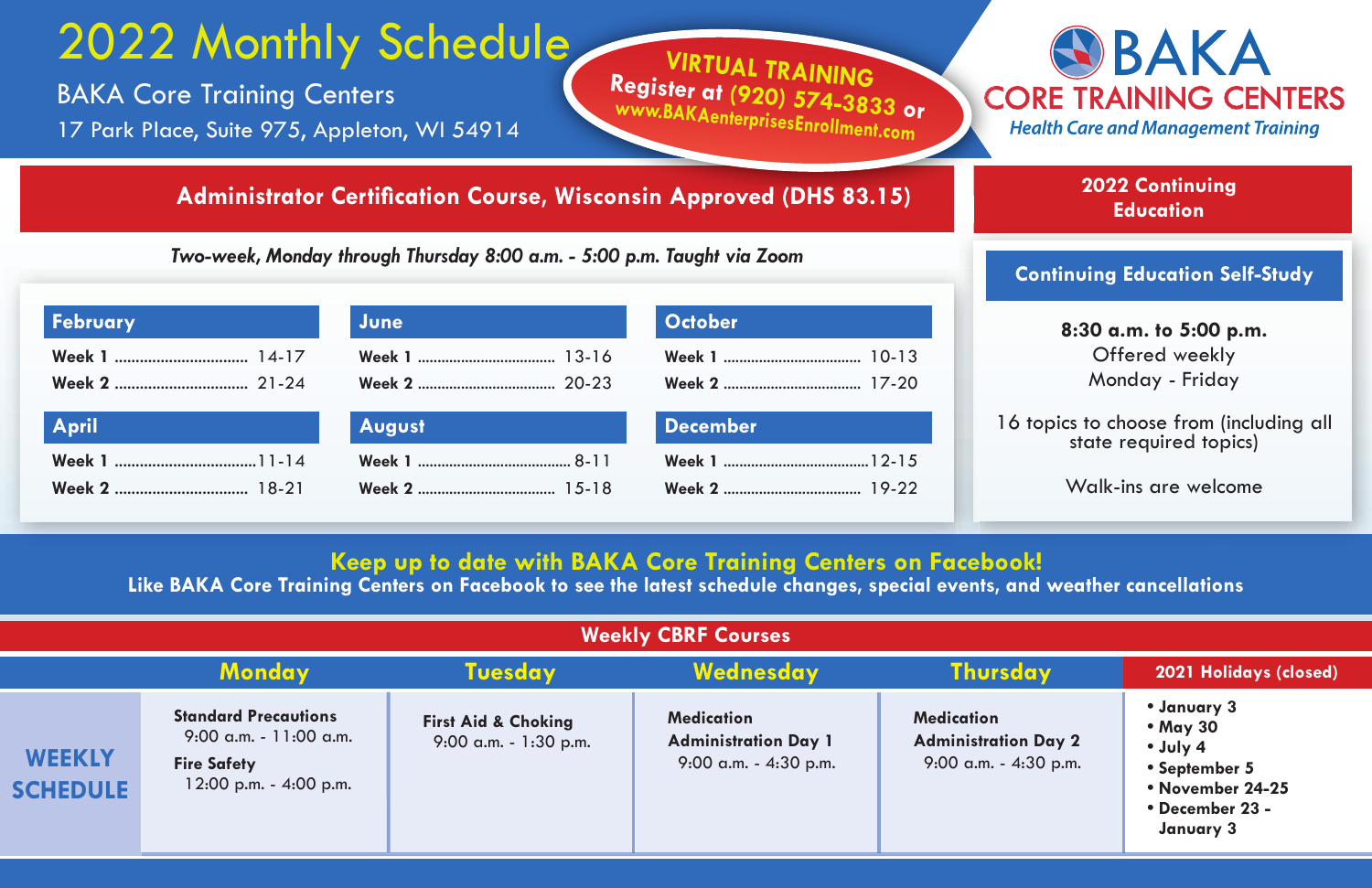## 2022 Monthly Schedule

BAKA Core Training Centers 17 Park Place, Suite 975, Appleton, WI 54914

## **Administrator Certification Course, Wisconsin Approved (DHS 83.15)**

*Two-week, Monday through Thursday 8:00 a.m. - 5:00 p.m. Taught via Zoom*



**2022 Continuing Education**

## **Continuing Education Self-Study**

| <b>October</b><br><b>February</b><br>June |        |                 |
|-------------------------------------------|--------|-----------------|
|                                           |        |                 |
| <b>April</b>                              | August | <b>December</b> |
|                                           |        |                 |

**8:30 a.m. to 5:00 p.m.** Offered weekly Monday - Friday

ics to choose from (including all state required topics)

Walk-ins are welcome

## **Keep up to date with BAKA Core Training Centers on Facebook!**

**VIRTUAL TRAINING Register at (920) 574-3 www.BAKAenterprisesEnrollment.com**

**833 or**

**Like BAKA Core Training Centers on Facebook to see the latest schedule changes, special events, and weather cancellations**

| <b>Weekly CBRF Courses</b>       |                                                                                                             |                                                            |                                                                              |                                                                              |                                                                                                                |  |
|----------------------------------|-------------------------------------------------------------------------------------------------------------|------------------------------------------------------------|------------------------------------------------------------------------------|------------------------------------------------------------------------------|----------------------------------------------------------------------------------------------------------------|--|
|                                  | <b>Monday</b>                                                                                               | <b>Tuesday</b>                                             | Wednesday                                                                    | <b>Thursday</b>                                                              | 2021 Holidays (closed)                                                                                         |  |
| <b>WEEKLY</b><br><b>SCHEDULE</b> | <b>Standard Precautions</b><br>$9:00$ a.m. - 11:00 a.m.<br><b>Fire Safety</b><br>$12:00$ p.m. $-$ 4:00 p.m. | <b>First Aid &amp; Choking</b><br>$9:00$ a.m. $-1:30$ p.m. | <b>Medication</b><br><b>Administration Day 1</b><br>$9:00$ a.m. $-4:30$ p.m. | <b>Medication</b><br><b>Administration Day 2</b><br>$9:00$ a.m. $-4:30$ p.m. | • January 3<br>• May 30<br>$\cdot$ July 4<br>• September 5<br>• November 24-25<br>• December 23 -<br>January 3 |  |